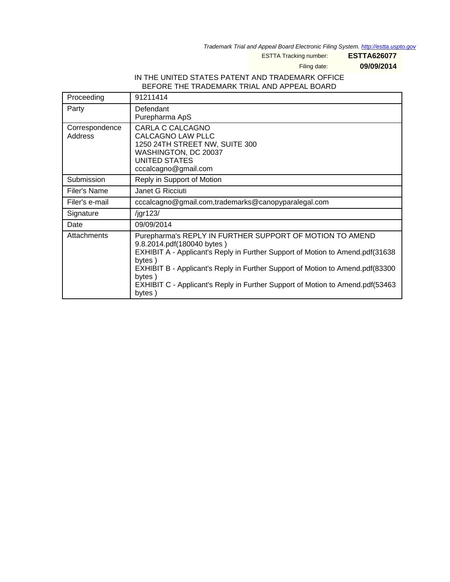Trademark Trial and Appeal Board Electronic Filing System. <http://estta.uspto.gov>

ESTTA Tracking number: **ESTTA626077**

Filing date: **09/09/2014**

# IN THE UNITED STATES PATENT AND TRADEMARK OFFICE BEFORE THE TRADEMARK TRIAL AND APPEAL BOARD

| Proceeding                | 91211414                                                                                                                                                                                                                                                                                                                                                                |
|---------------------------|-------------------------------------------------------------------------------------------------------------------------------------------------------------------------------------------------------------------------------------------------------------------------------------------------------------------------------------------------------------------------|
| Party                     | Defendant<br>Purepharma ApS                                                                                                                                                                                                                                                                                                                                             |
| Correspondence<br>Address | CARLA C CALCAGNO<br>CALCAGNO LAW PLLC<br>1250 24TH STREET NW, SUITE 300<br>WASHINGTON, DC 20037<br>UNITED STATES<br>cccalcagno@gmail.com                                                                                                                                                                                                                                |
| Submission                | Reply in Support of Motion                                                                                                                                                                                                                                                                                                                                              |
| Filer's Name              | Janet G Ricciuti                                                                                                                                                                                                                                                                                                                                                        |
| Filer's e-mail            | cccalcagno@gmail.com,trademarks@canopyparalegal.com                                                                                                                                                                                                                                                                                                                     |
| Signature                 | /jgr123/                                                                                                                                                                                                                                                                                                                                                                |
| Date                      | 09/09/2014                                                                                                                                                                                                                                                                                                                                                              |
| Attachments               | Purepharma's REPLY IN FURTHER SUPPORT OF MOTION TO AMEND<br>9.8.2014.pdf(180040 bytes)<br>EXHIBIT A - Applicant's Reply in Further Support of Motion to Amend.pdf(31638<br>bytes)<br>EXHIBIT B - Applicant's Reply in Further Support of Motion to Amend.pdf(83300<br>bytes)<br>EXHIBIT C - Applicant's Reply in Further Support of Motion to Amend.pdf(53463<br>bytes) |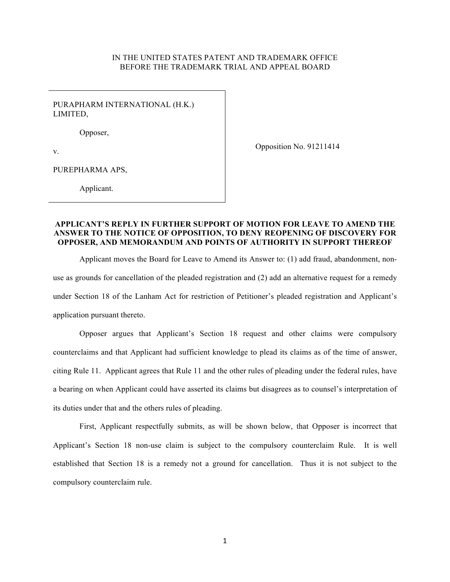#### IN THE UNITED STATES PATENT AND TRADEMARK OFFICE BEFORE THE TRADEMARK TRIAL AND APPEAL BOARD

PURAPHARM INTERNATIONAL (H.K.) LIMITED,

Opposer,

Opposition No. 91211414

v.

PUREPHARMA APS,

Applicant.

#### **APPLICANT'S REPLY IN FURTHER SUPPORT OF MOTION FOR LEAVE TO AMEND THE ANSWER TO THE NOTICE OF OPPOSITION, TO DENY REOPENING OF DISCOVERY FOR OPPOSER, AND MEMORANDUM AND POINTS OF AUTHORITY IN SUPPORT THEREOF**

Applicant moves the Board for Leave to Amend its Answer to: (1) add fraud, abandonment, nonuse as grounds for cancellation of the pleaded registration and (2) add an alternative request for a remedy under Section 18 of the Lanham Act for restriction of Petitioner's pleaded registration and Applicant's application pursuant thereto.

Opposer argues that Applicant's Section 18 request and other claims were compulsory counterclaims and that Applicant had sufficient knowledge to plead its claims as of the time of answer, citing Rule 11. Applicant agrees that Rule 11 and the other rules of pleading under the federal rules, have a bearing on when Applicant could have asserted its claims but disagrees as to counsel's interpretation of its duties under that and the others rules of pleading.

First, Applicant respectfully submits, as will be shown below, that Opposer is incorrect that Applicant's Section 18 non-use claim is subject to the compulsory counterclaim Rule. It is well established that Section 18 is a remedy not a ground for cancellation. Thus it is not subject to the compulsory counterclaim rule.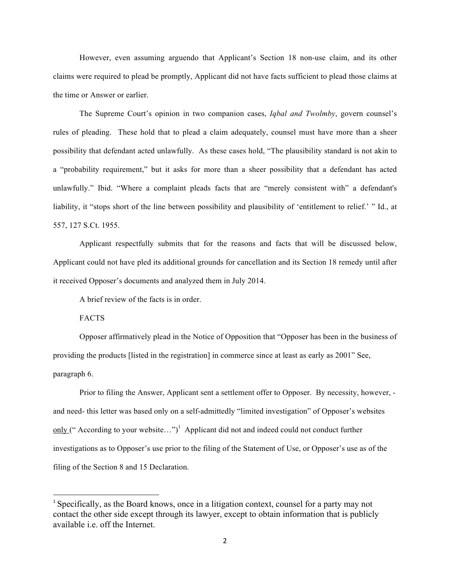However, even assuming arguendo that Applicant's Section 18 non-use claim, and its other claims were required to plead be promptly, Applicant did not have facts sufficient to plead those claims at the time or Answer or earlier.

The Supreme Court's opinion in two companion cases, *Iqbal and Twolmby*, govern counsel's rules of pleading. These hold that to plead a claim adequately, counsel must have more than a sheer possibility that defendant acted unlawfully. As these cases hold, "The plausibility standard is not akin to a "probability requirement," but it asks for more than a sheer possibility that a defendant has acted unlawfully." Ibid. "Where a complaint pleads facts that are "merely consistent with" a defendant's liability, it "stops short of the line between possibility and plausibility of 'entitlement to relief.' " Id., at 557, 127 S.Ct. 1955.

Applicant respectfully submits that for the reasons and facts that will be discussed below, Applicant could not have pled its additional grounds for cancellation and its Section 18 remedy until after it received Opposer's documents and analyzed them in July 2014.

A brief review of the facts is in order.

FACTS

Opposer affirmatively plead in the Notice of Opposition that "Opposer has been in the business of providing the products [listed in the registration] in commerce since at least as early as 2001" See, paragraph 6.

Prior to filing the Answer, Applicant sent a settlement offer to Opposer. By necessity, however, and need- this letter was based only on a self-admittedly "limited investigation" of Opposer's websites only ("According to your website...")<sup>1</sup> Applicant did not and indeed could not conduct further investigations as to Opposer's use prior to the filing of the Statement of Use, or Opposer's use as of the filing of the Section 8 and 15 Declaration.

<sup>&</sup>lt;sup>1</sup> Specifically, as the Board knows, once in a litigation context, counsel for a party may not contact the other side except through its lawyer, except to obtain information that is publicly available i.e. off the Internet.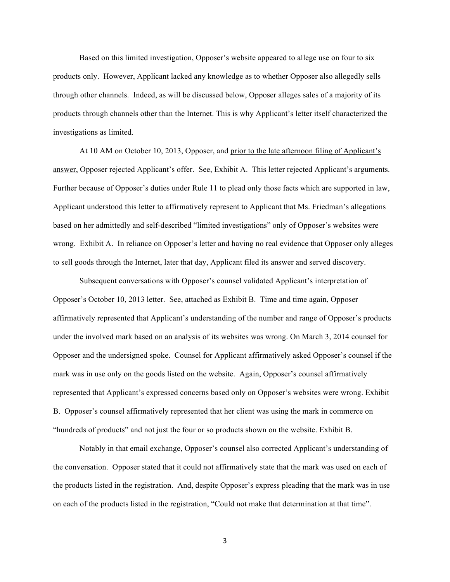Based on this limited investigation, Opposer's website appeared to allege use on four to six products only. However, Applicant lacked any knowledge as to whether Opposer also allegedly sells through other channels. Indeed, as will be discussed below, Opposer alleges sales of a majority of its products through channels other than the Internet. This is why Applicant's letter itself characterized the investigations as limited.

At 10 AM on October 10, 2013, Opposer, and prior to the late afternoon filing of Applicant's answer, Opposer rejected Applicant's offer. See, Exhibit A. This letter rejected Applicant's arguments. Further because of Opposer's duties under Rule 11 to plead only those facts which are supported in law, Applicant understood this letter to affirmatively represent to Applicant that Ms. Friedman's allegations based on her admittedly and self-described "limited investigations" only of Opposer's websites were wrong. Exhibit A. In reliance on Opposer's letter and having no real evidence that Opposer only alleges to sell goods through the Internet, later that day, Applicant filed its answer and served discovery.

Subsequent conversations with Opposer's counsel validated Applicant's interpretation of Opposer's October 10, 2013 letter. See, attached as Exhibit B. Time and time again, Opposer affirmatively represented that Applicant's understanding of the number and range of Opposer's products under the involved mark based on an analysis of its websites was wrong. On March 3, 2014 counsel for Opposer and the undersigned spoke. Counsel for Applicant affirmatively asked Opposer's counsel if the mark was in use only on the goods listed on the website. Again, Opposer's counsel affirmatively represented that Applicant's expressed concerns based only on Opposer's websites were wrong. Exhibit B. Opposer's counsel affirmatively represented that her client was using the mark in commerce on "hundreds of products" and not just the four or so products shown on the website. Exhibit B.

Notably in that email exchange, Opposer's counsel also corrected Applicant's understanding of the conversation. Opposer stated that it could not affirmatively state that the mark was used on each of the products listed in the registration. And, despite Opposer's express pleading that the mark was in use on each of the products listed in the registration, "Could not make that determination at that time".

3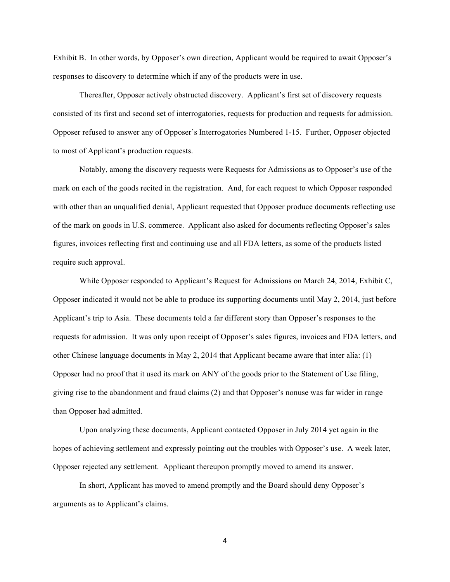Exhibit B. In other words, by Opposer's own direction, Applicant would be required to await Opposer's responses to discovery to determine which if any of the products were in use.

Thereafter, Opposer actively obstructed discovery. Applicant's first set of discovery requests consisted of its first and second set of interrogatories, requests for production and requests for admission. Opposer refused to answer any of Opposer's Interrogatories Numbered 1-15. Further, Opposer objected to most of Applicant's production requests.

Notably, among the discovery requests were Requests for Admissions as to Opposer's use of the mark on each of the goods recited in the registration. And, for each request to which Opposer responded with other than an unqualified denial, Applicant requested that Opposer produce documents reflecting use of the mark on goods in U.S. commerce. Applicant also asked for documents reflecting Opposer's sales figures, invoices reflecting first and continuing use and all FDA letters, as some of the products listed require such approval.

While Opposer responded to Applicant's Request for Admissions on March 24, 2014, Exhibit C, Opposer indicated it would not be able to produce its supporting documents until May 2, 2014, just before Applicant's trip to Asia. These documents told a far different story than Opposer's responses to the requests for admission. It was only upon receipt of Opposer's sales figures, invoices and FDA letters, and other Chinese language documents in May 2, 2014 that Applicant became aware that inter alia: (1) Opposer had no proof that it used its mark on ANY of the goods prior to the Statement of Use filing, giving rise to the abandonment and fraud claims (2) and that Opposer's nonuse was far wider in range than Opposer had admitted.

Upon analyzing these documents, Applicant contacted Opposer in July 2014 yet again in the hopes of achieving settlement and expressly pointing out the troubles with Opposer's use. A week later, Opposer rejected any settlement. Applicant thereupon promptly moved to amend its answer.

In short, Applicant has moved to amend promptly and the Board should deny Opposer's arguments as to Applicant's claims.

4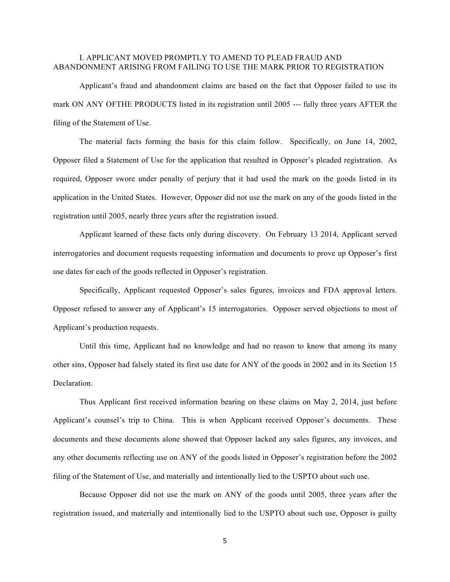### I. APPLICANT MOVED PROMPTLY TO AMEND TO PLEAD FRAUD AND ABANDONMENT ARISING FROM FAILING TO USE THE MARK PRIOR TO REGISTRATION

Applicant's fraud and abandonment claims are based on the fact that Opposer failed to use its mark ON ANY OFTHE PRODUCTS listed in its registration until 2005 --- fully three years AFTER the filing of the Statement of Use.

The material facts forming the basis for this claim follow. Specifically, on June 14, 2002, Opposer filed a Statement of Use for the application that resulted in Opposer's pleaded registration. As required, Opposer swore under penalty of perjury that it had used the mark on the goods listed in its application in the United States. However, Opposer did not use the mark on any of the goods listed in the registration until 2005, nearly three years after the registration issued.

Applicant learned of these facts only during discovery. On February 13 2014, Applicant served interrogatories and document requests requesting information and documents to prove up Opposer's first use dates for each of the goods reflected in Opposer's registration.

Specifically, Applicant requested Opposer's sales figures, invoices and FDA approval letters. Opposer refused to answer any of Applicant's 15 interrogatories. Opposer served objections to most of Applicant's production requests.

Until this time, Applicant had no knowledge and had no reason to know that among its many other sins, Opposer had falsely stated its first use date for ANY of the goods in 2002 and in its Section 15 Declaration.

Thus Applicant first received information bearing on these claims on May 2, 2014, just before Applicant's counsel's trip to China. This is when Applicant received Opposer's documents. These documents and these documents alone showed that Opposer lacked any sales figures, any invoices, and any other documents reflecting use on ANY of the goods listed in Opposer's registration before the 2002 filing of the Statement of Use, and materially and intentionally lied to the USPTO about such use.

Because Opposer did not use the mark on ANY of the goods until 2005, three years after the registration issued, and materially and intentionally lied to the USPTO about such use, Opposer is guilty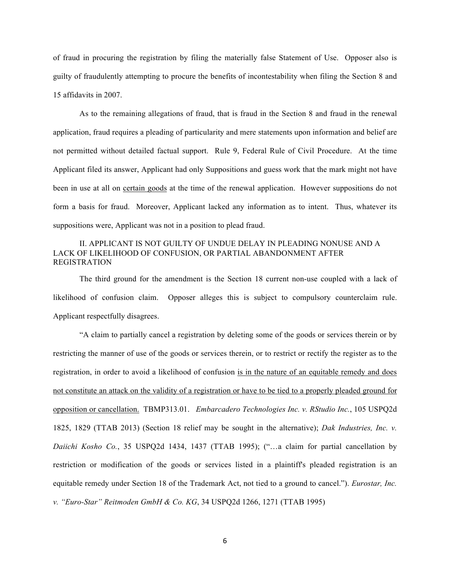of fraud in procuring the registration by filing the materially false Statement of Use. Opposer also is guilty of fraudulently attempting to procure the benefits of incontestability when filing the Section 8 and 15 affidavits in 2007.

As to the remaining allegations of fraud, that is fraud in the Section 8 and fraud in the renewal application, fraud requires a pleading of particularity and mere statements upon information and belief are not permitted without detailed factual support. Rule 9, Federal Rule of Civil Procedure. At the time Applicant filed its answer, Applicant had only Suppositions and guess work that the mark might not have been in use at all on certain goods at the time of the renewal application. However suppositions do not form a basis for fraud. Moreover, Applicant lacked any information as to intent. Thus, whatever its suppositions were, Applicant was not in a position to plead fraud.

### II. APPLICANT IS NOT GUILTY OF UNDUE DELAY IN PLEADING NONUSE AND A LACK OF LIKELIHOOD OF CONFUSION, OR PARTIAL ABANDONMENT AFTER REGISTRATION

The third ground for the amendment is the Section 18 current non-use coupled with a lack of likelihood of confusion claim.Opposer alleges this is subject to compulsory counterclaim rule. Applicant respectfully disagrees.

"A claim to partially cancel a registration by deleting some of the goods or services therein or by restricting the manner of use of the goods or services therein, or to restrict or rectify the register as to the registration, in order to avoid a likelihood of confusion is in the nature of an equitable remedy and does not constitute an attack on the validity of a registration or have to be tied to a properly pleaded ground for opposition or cancellation. TBMP313.01. *Embarcadero Technologies Inc. v. RStudio Inc.*, 105 USPQ2d 1825, 1829 (TTAB 2013) (Section 18 relief may be sought in the alternative); *Dak Industries, Inc. v. Daiichi Kosho Co.*, 35 USPQ2d 1434, 1437 (TTAB 1995); ("…a claim for partial cancellation by restriction or modification of the goods or services listed in a plaintiff's pleaded registration is an equitable remedy under Section 18 of the Trademark Act, not tied to a ground to cancel."). *Eurostar, Inc. v. "Euro-Star" Reitmoden GmbH & Co. KG*, 34 USPQ2d 1266, 1271 (TTAB 1995)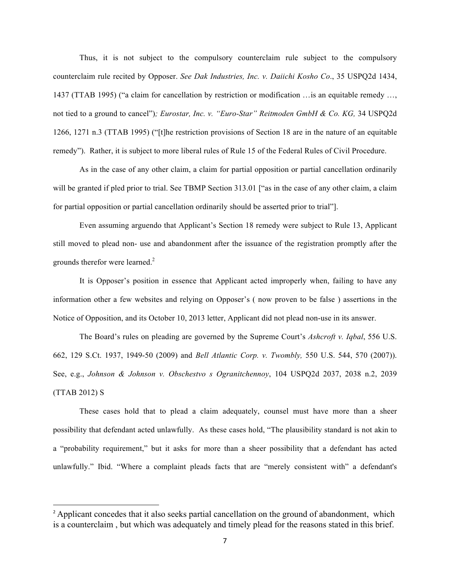Thus, it is not subject to the compulsory counterclaim rule subject to the compulsory counterclaim rule recited by Opposer. *See Dak Industries, Inc. v. Daiichi Kosho Co*., 35 USPQ2d 1434, 1437 (TTAB 1995) ("a claim for cancellation by restriction or modification …is an equitable remedy …, not tied to a ground to cancel")*; Eurostar, Inc. v. "Euro-Star" Reitmoden GmbH & Co. KG,* 34 USPQ2d 1266, 1271 n.3 (TTAB 1995) ("[t]he restriction provisions of Section 18 are in the nature of an equitable remedy"). Rather, it is subject to more liberal rules of Rule 15 of the Federal Rules of Civil Procedure.

As in the case of any other claim, a claim for partial opposition or partial cancellation ordinarily will be granted if pled prior to trial. See TBMP Section 313.01 ["as in the case of any other claim, a claim for partial opposition or partial cancellation ordinarily should be asserted prior to trial"].

Even assuming arguendo that Applicant's Section 18 remedy were subject to Rule 13, Applicant still moved to plead non- use and abandonment after the issuance of the registration promptly after the grounds therefor were learned.<sup>2</sup>

It is Opposer's position in essence that Applicant acted improperly when, failing to have any information other a few websites and relying on Opposer's ( now proven to be false ) assertions in the Notice of Opposition, and its October 10, 2013 letter, Applicant did not plead non-use in its answer.

The Board's rules on pleading are governed by the Supreme Court's *Ashcroft v. Iqbal*, 556 U.S. 662, 129 S.Ct. 1937, 1949-50 (2009) and *Bell Atlantic Corp. v. Twombly,* 550 U.S. 544, 570 (2007)). See, e.g., *Johnson & Johnson v. Obschestvo s Ogranitchennoy*, 104 USPQ2d 2037, 2038 n.2, 2039 (TTAB 2012) S

These cases hold that to plead a claim adequately, counsel must have more than a sheer possibility that defendant acted unlawfully. As these cases hold, "The plausibility standard is not akin to a "probability requirement," but it asks for more than a sheer possibility that a defendant has acted unlawfully." Ibid. "Where a complaint pleads facts that are "merely consistent with" a defendant's

<sup>&</sup>lt;sup>2</sup> Applicant concedes that it also seeks partial cancellation on the ground of abandonment, which is a counterclaim , but which was adequately and timely plead for the reasons stated in this brief.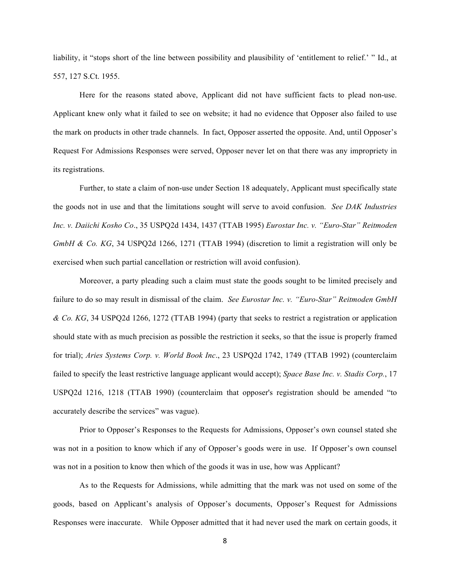liability, it "stops short of the line between possibility and plausibility of 'entitlement to relief.' " Id., at 557, 127 S.Ct. 1955.

Here for the reasons stated above, Applicant did not have sufficient facts to plead non-use. Applicant knew only what it failed to see on website; it had no evidence that Opposer also failed to use the mark on products in other trade channels. In fact, Opposer asserted the opposite. And, until Opposer's Request For Admissions Responses were served, Opposer never let on that there was any impropriety in its registrations.

Further, to state a claim of non-use under Section 18 adequately, Applicant must specifically state the goods not in use and that the limitations sought will serve to avoid confusion. *See DAK Industries Inc. v. Daiichi Kosho Co*., 35 USPQ2d 1434, 1437 (TTAB 1995) *Eurostar Inc. v. "Euro-Star" Reitmoden GmbH & Co. KG*, 34 USPQ2d 1266, 1271 (TTAB 1994) (discretion to limit a registration will only be exercised when such partial cancellation or restriction will avoid confusion).

Moreover, a party pleading such a claim must state the goods sought to be limited precisely and failure to do so may result in dismissal of the claim. *See Eurostar Inc. v. "Euro-Star" Reitmoden GmbH & Co. KG*, 34 USPQ2d 1266, 1272 (TTAB 1994) (party that seeks to restrict a registration or application should state with as much precision as possible the restriction it seeks, so that the issue is properly framed for trial); *Aries Systems Corp. v. World Book Inc*., 23 USPQ2d 1742, 1749 (TTAB 1992) (counterclaim failed to specify the least restrictive language applicant would accept); *Space Base Inc. v. Stadis Corp.*, 17 USPQ2d 1216, 1218 (TTAB 1990) (counterclaim that opposer's registration should be amended "to accurately describe the services" was vague).

Prior to Opposer's Responses to the Requests for Admissions, Opposer's own counsel stated she was not in a position to know which if any of Opposer's goods were in use. If Opposer's own counsel was not in a position to know then which of the goods it was in use, how was Applicant?

As to the Requests for Admissions, while admitting that the mark was not used on some of the goods, based on Applicant's analysis of Opposer's documents, Opposer's Request for Admissions Responses were inaccurate. While Opposer admitted that it had never used the mark on certain goods, it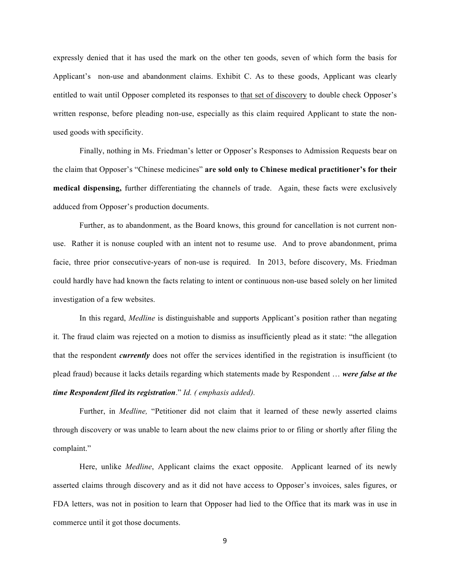expressly denied that it has used the mark on the other ten goods, seven of which form the basis for Applicant's non-use and abandonment claims. Exhibit C. As to these goods, Applicant was clearly entitled to wait until Opposer completed its responses to that set of discovery to double check Opposer's written response, before pleading non-use, especially as this claim required Applicant to state the nonused goods with specificity.

Finally, nothing in Ms. Friedman's letter or Opposer's Responses to Admission Requests bear on the claim that Opposer's "Chinese medicines" **are sold only to Chinese medical practitioner's for their medical dispensing,** further differentiating the channels of trade. Again, these facts were exclusively adduced from Opposer's production documents.

Further, as to abandonment, as the Board knows, this ground for cancellation is not current nonuse. Rather it is nonuse coupled with an intent not to resume use. And to prove abandonment, prima facie, three prior consecutive-years of non-use is required. In 2013, before discovery, Ms. Friedman could hardly have had known the facts relating to intent or continuous non-use based solely on her limited investigation of a few websites.

In this regard, *Medline* is distinguishable and supports Applicant's position rather than negating it. The fraud claim was rejected on a motion to dismiss as insufficiently plead as it state: "the allegation that the respondent *currently* does not offer the services identified in the registration is insufficient (to plead fraud) because it lacks details regarding which statements made by Respondent … *were false at the time Respondent filed its registration*." *Id. ( emphasis added).*

Further, in *Medline,* "Petitioner did not claim that it learned of these newly asserted claims through discovery or was unable to learn about the new claims prior to or filing or shortly after filing the complaint."

Here, unlike *Medline*, Applicant claims the exact opposite. Applicant learned of its newly asserted claims through discovery and as it did not have access to Opposer's invoices, sales figures, or FDA letters, was not in position to learn that Opposer had lied to the Office that its mark was in use in commerce until it got those documents.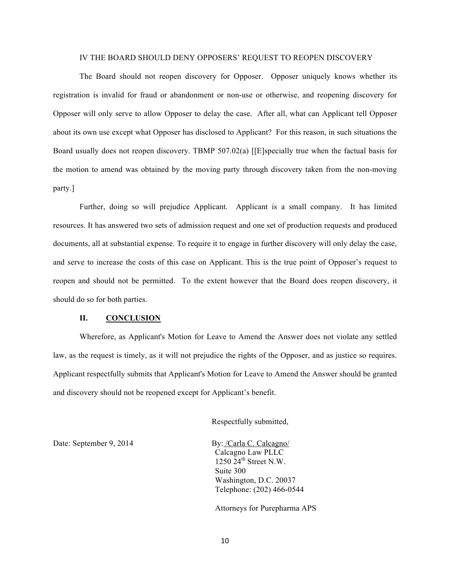#### IV THE BOARD SHOULD DENY OPPOSERS' REQUEST TO REOPEN DISCOVERY

The Board should not reopen discovery for Opposer. Opposer uniquely knows whether its registration is invalid for fraud or abandonment or non-use or otherwise, and reopening discovery for Opposer will only serve to allow Opposer to delay the case. After all, what can Applicant tell Opposer about its own use except what Opposer has disclosed to Applicant? For this reason, in such situations the Board usually does not reopen discovery. TBMP 507.02(a) [[E]specially true when the factual basis for the motion to amend was obtained by the moving party through discovery taken from the non-moving party.]

Further, doing so will prejudice Applicant. Applicant is a small company. It has limited resources. It has answered two sets of admission request and one set of production requests and produced documents, all at substantial expense. To require it to engage in further discovery will only delay the case, and serve to increase the costs of this case on Applicant. This is the true point of Opposer's request to reopen and should not be permitted. To the extent however that the Board does reopen discovery, it should do so for both parties.

#### **II. CONCLUSION**

Wherefore, as Applicant's Motion for Leave to Amend the Answer does not violate any settled law, as the request is timely, as it will not prejudice the rights of the Opposer, and as justice so requires. Applicant respectfully submits that Applicant's Motion for Leave to Amend the Answer should be granted and discovery should not be reopened except for Applicant's benefit.

Respectfully submitted,

Date: September 9, 2014 By: /Carla C. Calcagno/

Calcagno Law PLLC  $1250$   $24^{\text{th}}$  Street N.W. Suite 300 Washington, D.C. 20037 Telephone: (202) 466-0544

Attorneys for Purepharma APS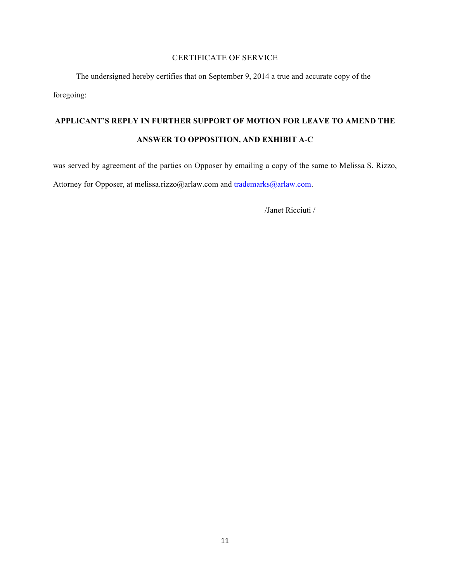# CERTIFICATE OF SERVICE

The undersigned hereby certifies that on September 9, 2014 a true and accurate copy of the foregoing:

# **APPLICANT'S REPLY IN FURTHER SUPPORT OF MOTION FOR LEAVE TO AMEND THE ANSWER TO OPPOSITION, AND EXHIBIT A-C**

was served by agreement of the parties on Opposer by emailing a copy of the same to Melissa S. Rizzo, Attorney for Opposer, at melissa.rizzo@arlaw.com and trademarks@arlaw.com.

/Janet Ricciuti /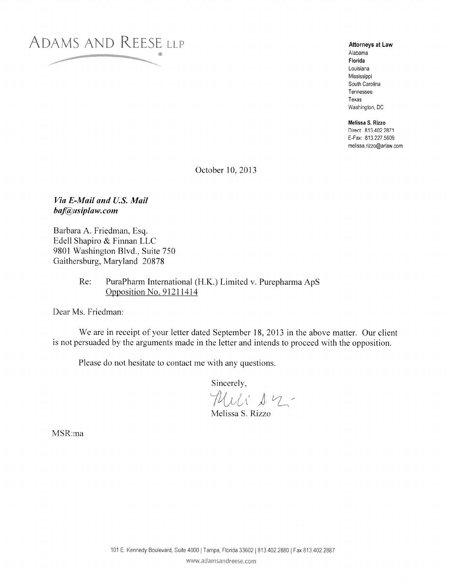

**Attorneys at Law** Alabama Florida Louisiana Mississippi South Carolina Tennessee Texas Washington, DC

Melissa S. Rizzo Direct: 813.402.2871 E-Fax: 813.227.5609 melissa.rizzo@arlaw.com

October 10, 2013

# Via E-Mail and U.S. Mail baf@usiplaw.com

Barbara A. Friedman, Esq. Edell Shapiro & Finnan LLC 9801 Washington Blvd., Suite 750 Gaithersburg, Maryland 20878

#### $Re:$ PuraPharm International (H.K.) Limited v. Purepharma ApS Opposition No. 91211414

Dear Ms. Friedman:

We are in receipt of your letter dated September 18, 2013 in the above matter. Our client is not persuaded by the arguments made in the letter and intends to proceed with the opposition.

Please do not hesitate to contact me with any questions.

Sincerely,

Mili 12-

Melissa S. Rizzo

MSR:ma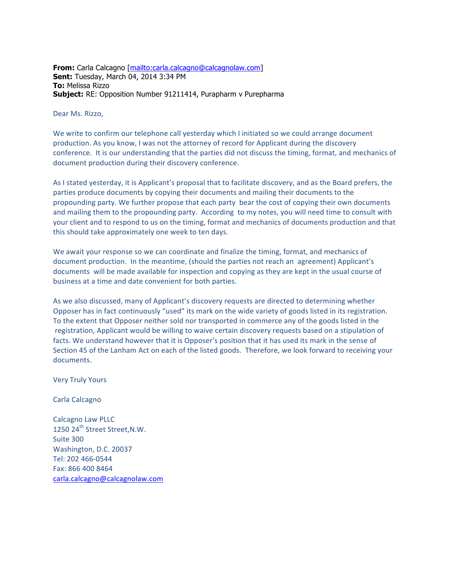**From:** Carla Calcagno [mailto:carla.calcagno@calcagnolaw.com] **Sent:** Tuesday, March 04, 2014 3:34 PM **To:** Melissa Rizzo **Subject:** RE: Opposition Number 91211414, Purapharm v Purepharma

#### Dear Ms. Rizzo,

We write to confirm our telephone call yesterday which I initiated so we could arrange document production. As you know, I was not the attorney of record for Applicant during the discovery conference. It is our understanding that the parties did not discuss the timing, format, and mechanics of document production during their discovery conference.

As I stated yesterday, it is Applicant's proposal that to facilitate discovery, and as the Board prefers, the parties produce documents by copying their documents and mailing their documents to the propounding party. We further propose that each party bear the cost of copying their own documents and mailing them to the propounding party. According to my notes, you will need time to consult with your client and to respond to us on the timing, format and mechanics of documents production and that this should take approximately one week to ten days.

We await your response so we can coordinate and finalize the timing, format, and mechanics of document production. In the meantime, (should the parties not reach an agreement) Applicant's documents will be made available for inspection and copying as they are kept in the usual course of business at a time and date convenient for both parties.

As we also discussed, many of Applicant's discovery requests are directed to determining whether Opposer has in fact continuously "used" its mark on the wide variety of goods listed in its registration. To the extent that Opposer neither sold nor transported in commerce any of the goods listed in the registration, Applicant would be willing to waive certain discovery requests based on a stipulation of facts. We understand however that it is Opposer's position that it has used its mark in the sense of Section 45 of the Lanham Act on each of the listed goods. Therefore, we look forward to receiving your documents.

Very Truly Yours

#### Carla Calcagno

Calcagno Law PLLC 1250 24<sup>th</sup> Street Street, N.W. Suite 300 Washington, D.C. 20037 Tel: 202 466‐0544 Fax: 866 400 8464 carla.calcagno@calcagnolaw.com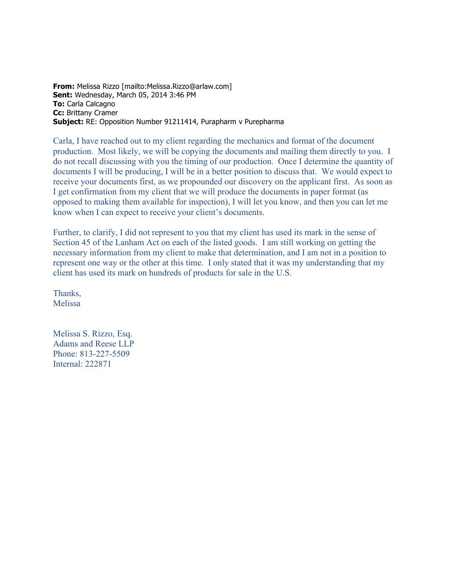**From:** Melissa Rizzo [mailto:Melissa.Rizzo@arlaw.com] **Sent:** Wednesday, March 05, 2014 3:46 PM **To:** Carla Calcagno **Cc:** Brittany Cramer **Subject:** RE: Opposition Number 91211414, Purapharm v Purepharma

Carla, I have reached out to my client regarding the mechanics and format of the document production. Most likely, we will be copying the documents and mailing them directly to you. I do not recall discussing with you the timing of our production. Once I determine the quantity of documents I will be producing, I will be in a better position to discuss that. We would expect to receive your documents first, as we propounded our discovery on the applicant first. As soon as I get confirmation from my client that we will produce the documents in paper format (as opposed to making them available for inspection), I will let you know, and then you can let me know when I can expect to receive your client's documents.

Further, to clarify, I did not represent to you that my client has used its mark in the sense of Section 45 of the Lanham Act on each of the listed goods. I am still working on getting the necessary information from my client to make that determination, and I am not in a position to represent one way or the other at this time. I only stated that it was my understanding that my client has used its mark on hundreds of products for sale in the U.S.

Thanks, Melissa

Melissa S. Rizzo, Esq. Adams and Reese LLP Phone: 813-227-5509 Internal: 222871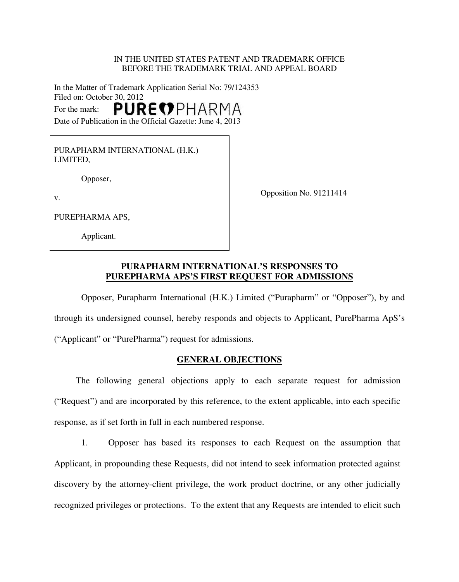### IN THE UNITED STATES PATENT AND TRADEMARK OFFICE BEFORE THE TRADEMARK TRIAL AND APPEAL BOARD

In the Matter of Trademark Application Serial No: 79/124353 Filed on: October 30, 2012 PUREOPHARMA For the mark: Date of Publication in the Official Gazette: June 4, 2013

PURAPHARM INTERNATIONAL (H.K.) LIMITED,

Opposer,

Opposition No. 91211414

v.

PUREPHARMA APS,

Applicant.

# **PURAPHARM INTERNATIONAL'S RESPONSES TO PUREPHARMA APS'S FIRST REQUEST FOR ADMISSIONS**

Opposer, Purapharm International (H.K.) Limited ("Purapharm" or "Opposer"), by and through its undersigned counsel, hereby responds and objects to Applicant, PurePharma ApS's ("Applicant" or "PurePharma") request for admissions.

# **GENERAL OBJECTIONS**

The following general objections apply to each separate request for admission ("Request") and are incorporated by this reference, to the extent applicable, into each specific response, as if set forth in full in each numbered response.

1. Opposer has based its responses to each Request on the assumption that Applicant, in propounding these Requests, did not intend to seek information protected against discovery by the attorney-client privilege, the work product doctrine, or any other judicially recognized privileges or protections. To the extent that any Requests are intended to elicit such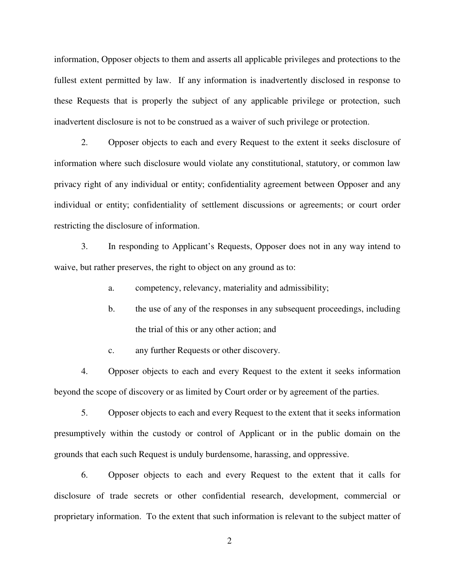information, Opposer objects to them and asserts all applicable privileges and protections to the fullest extent permitted by law. If any information is inadvertently disclosed in response to these Requests that is properly the subject of any applicable privilege or protection, such inadvertent disclosure is not to be construed as a waiver of such privilege or protection.

2. Opposer objects to each and every Request to the extent it seeks disclosure of information where such disclosure would violate any constitutional, statutory, or common law privacy right of any individual or entity; confidentiality agreement between Opposer and any individual or entity; confidentiality of settlement discussions or agreements; or court order restricting the disclosure of information.

3. In responding to Applicant's Requests, Opposer does not in any way intend to waive, but rather preserves, the right to object on any ground as to:

a. competency, relevancy, materiality and admissibility;

- b. the use of any of the responses in any subsequent proceedings, including the trial of this or any other action; and
- c. any further Requests or other discovery.

4. Opposer objects to each and every Request to the extent it seeks information beyond the scope of discovery or as limited by Court order or by agreement of the parties.

5. Opposer objects to each and every Request to the extent that it seeks information presumptively within the custody or control of Applicant or in the public domain on the grounds that each such Request is unduly burdensome, harassing, and oppressive.

6. Opposer objects to each and every Request to the extent that it calls for disclosure of trade secrets or other confidential research, development, commercial or proprietary information. To the extent that such information is relevant to the subject matter of

2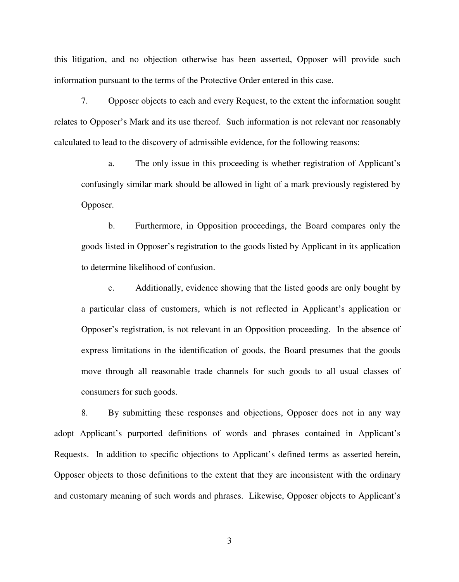this litigation, and no objection otherwise has been asserted, Opposer will provide such information pursuant to the terms of the Protective Order entered in this case.

7. Opposer objects to each and every Request, to the extent the information sought relates to Opposer's Mark and its use thereof. Such information is not relevant nor reasonably calculated to lead to the discovery of admissible evidence, for the following reasons:

a. The only issue in this proceeding is whether registration of Applicant's confusingly similar mark should be allowed in light of a mark previously registered by Opposer.

b. Furthermore, in Opposition proceedings, the Board compares only the goods listed in Opposer's registration to the goods listed by Applicant in its application to determine likelihood of confusion.

c. Additionally, evidence showing that the listed goods are only bought by a particular class of customers, which is not reflected in Applicant's application or Opposer's registration, is not relevant in an Opposition proceeding. In the absence of express limitations in the identification of goods, the Board presumes that the goods move through all reasonable trade channels for such goods to all usual classes of consumers for such goods.

8. By submitting these responses and objections, Opposer does not in any way adopt Applicant's purported definitions of words and phrases contained in Applicant's Requests. In addition to specific objections to Applicant's defined terms as asserted herein, Opposer objects to those definitions to the extent that they are inconsistent with the ordinary and customary meaning of such words and phrases. Likewise, Opposer objects to Applicant's

3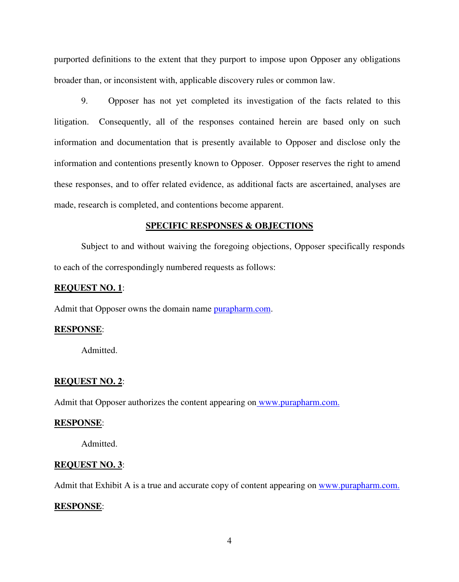purported definitions to the extent that they purport to impose upon Opposer any obligations broader than, or inconsistent with, applicable discovery rules or common law.

9. Opposer has not yet completed its investigation of the facts related to this litigation. Consequently, all of the responses contained herein are based only on such information and documentation that is presently available to Opposer and disclose only the information and contentions presently known to Opposer. Opposer reserves the right to amend these responses, and to offer related evidence, as additional facts are ascertained, analyses are made, research is completed, and contentions become apparent.

#### **SPECIFIC RESPONSES & OBJECTIONS**

Subject to and without waiving the foregoing objections, Opposer specifically responds to each of the correspondingly numbered requests as follows:

# **REQUEST NO. 1**:

Admit that Opposer owns the domain name [purapharm.com.](http://purapharm.com/)

#### **RESPONSE**:

Admitted.

#### **REQUEST NO. 2**:

Admit that Opposer authorizes the content appearing on [www.purapharm.com.](http://www.purapharm.com/)

#### **RESPONSE**:

Admitted.

#### **REQUEST NO. 3**:

Admit that Exhibit A is a true and accurate copy of content appearing on [www.purapharm.com](http://www.purapharm.com/).

#### **RESPONSE**: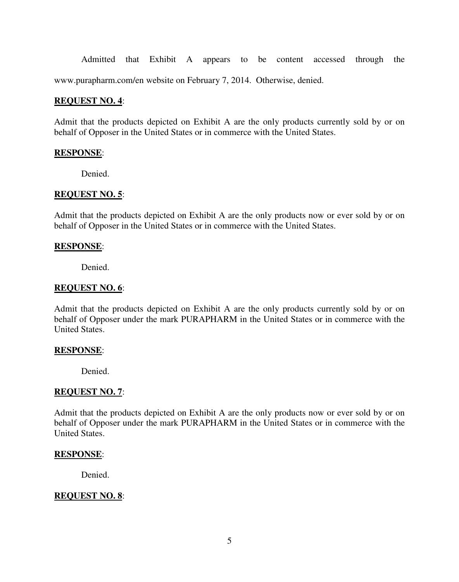Admitted that Exhibit A appears to be content accessed through the

www.purapharm.com/en website on February 7, 2014. Otherwise, denied.

#### **REQUEST NO. 4**:

Admit that the products depicted on Exhibit A are the only products currently sold by or on behalf of Opposer in the United States or in commerce with the United States.

#### **RESPONSE**:

Denied.

#### **REQUEST NO. 5**:

Admit that the products depicted on Exhibit A are the only products now or ever sold by or on behalf of Opposer in the United States or in commerce with the United States.

#### **RESPONSE**:

Denied.

#### **REQUEST NO. 6**:

Admit that the products depicted on Exhibit A are the only products currently sold by or on behalf of Opposer under the mark PURAPHARM in the United States or in commerce with the United States.

#### **RESPONSE**:

Denied.

#### **REQUEST NO. 7**:

Admit that the products depicted on Exhibit A are the only products now or ever sold by or on behalf of Opposer under the mark PURAPHARM in the United States or in commerce with the United States.

#### **RESPONSE**:

Denied.

### **REQUEST NO. 8**: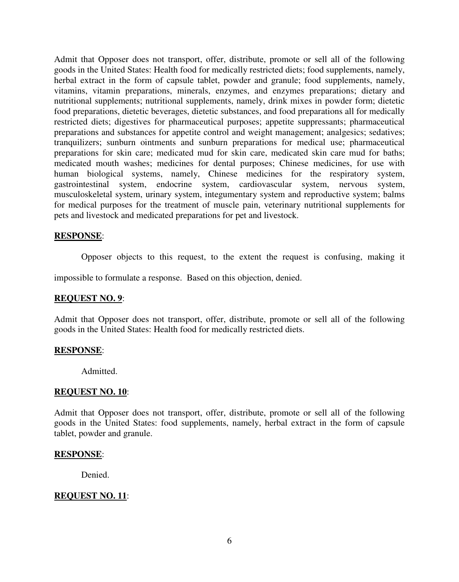Admit that Opposer does not transport, offer, distribute, promote or sell all of the following goods in the United States: Health food for medically restricted diets; food supplements, namely, herbal extract in the form of capsule tablet, powder and granule; food supplements, namely, vitamins, vitamin preparations, minerals, enzymes, and enzymes preparations; dietary and nutritional supplements; nutritional supplements, namely, drink mixes in powder form; dietetic food preparations, dietetic beverages, dietetic substances, and food preparations all for medically restricted diets; digestives for pharmaceutical purposes; appetite suppressants; pharmaceutical preparations and substances for appetite control and weight management; analgesics; sedatives; tranquilizers; sunburn ointments and sunburn preparations for medical use; pharmaceutical preparations for skin care; medicated mud for skin care, medicated skin care mud for baths; medicated mouth washes; medicines for dental purposes; Chinese medicines, for use with human biological systems, namely, Chinese medicines for the respiratory system, gastrointestinal system, endocrine system, cardiovascular system, nervous system, musculoskeletal system, urinary system, integumentary system and reproductive system; balms for medical purposes for the treatment of muscle pain, veterinary nutritional supplements for pets and livestock and medicated preparations for pet and livestock.

### **RESPONSE**:

Opposer objects to this request, to the extent the request is confusing, making it

impossible to formulate a response. Based on this objection, denied.

#### **REQUEST NO. 9**:

Admit that Opposer does not transport, offer, distribute, promote or sell all of the following goods in the United States: Health food for medically restricted diets.

#### **RESPONSE**:

Admitted.

#### **REQUEST NO. 10**:

Admit that Opposer does not transport, offer, distribute, promote or sell all of the following goods in the United States: food supplements, namely, herbal extract in the form of capsule tablet, powder and granule.

#### **RESPONSE**:

Denied.

### **REQUEST NO. 11**: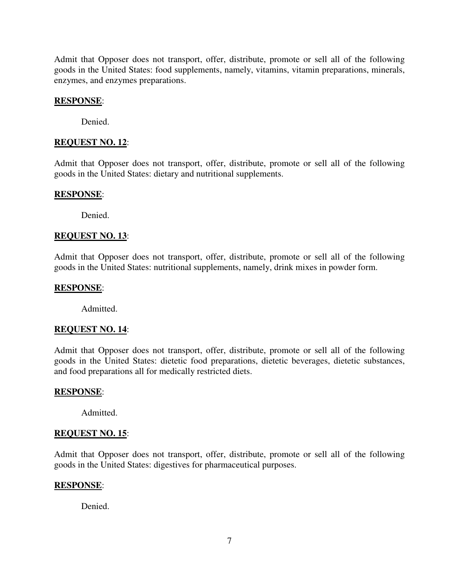Admit that Opposer does not transport, offer, distribute, promote or sell all of the following goods in the United States: food supplements, namely, vitamins, vitamin preparations, minerals, enzymes, and enzymes preparations.

#### **RESPONSE**:

Denied.

# **REQUEST NO. 12**:

Admit that Opposer does not transport, offer, distribute, promote or sell all of the following goods in the United States: dietary and nutritional supplements.

### **RESPONSE**:

Denied.

### **REQUEST NO. 13**:

Admit that Opposer does not transport, offer, distribute, promote or sell all of the following goods in the United States: nutritional supplements, namely, drink mixes in powder form.

# **RESPONSE**:

Admitted.

# **REQUEST NO. 14**:

Admit that Opposer does not transport, offer, distribute, promote or sell all of the following goods in the United States: dietetic food preparations, dietetic beverages, dietetic substances, and food preparations all for medically restricted diets.

#### **RESPONSE**:

Admitted.

# **REQUEST NO. 15**:

Admit that Opposer does not transport, offer, distribute, promote or sell all of the following goods in the United States: digestives for pharmaceutical purposes.

#### **RESPONSE**:

Denied.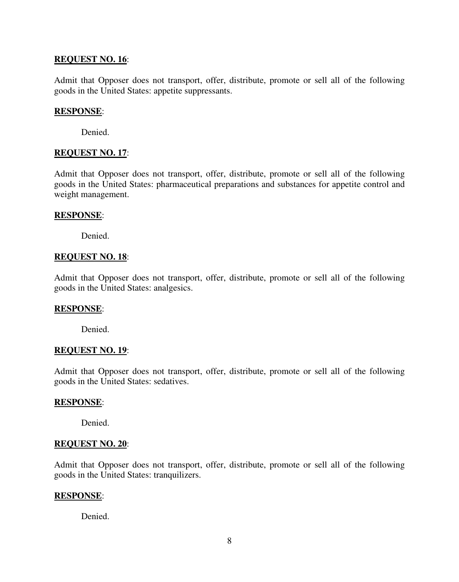# **REQUEST NO. 16**:

Admit that Opposer does not transport, offer, distribute, promote or sell all of the following goods in the United States: appetite suppressants.

# **RESPONSE**:

Denied.

# **REQUEST NO. 17**:

Admit that Opposer does not transport, offer, distribute, promote or sell all of the following goods in the United States: pharmaceutical preparations and substances for appetite control and weight management.

# **RESPONSE**:

Denied.

# **REQUEST NO. 18**:

Admit that Opposer does not transport, offer, distribute, promote or sell all of the following goods in the United States: analgesics.

# **RESPONSE**:

Denied.

#### **REQUEST NO. 19**:

Admit that Opposer does not transport, offer, distribute, promote or sell all of the following goods in the United States: sedatives.

#### **RESPONSE**:

Denied.

# **REQUEST NO. 20**:

Admit that Opposer does not transport, offer, distribute, promote or sell all of the following goods in the United States: tranquilizers.

#### **RESPONSE**:

Denied.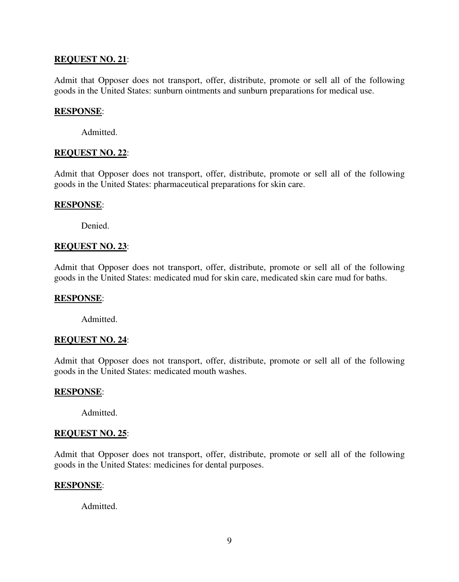# **REQUEST NO. 21**:

Admit that Opposer does not transport, offer, distribute, promote or sell all of the following goods in the United States: sunburn ointments and sunburn preparations for medical use.

# **RESPONSE**:

Admitted.

# **REQUEST NO. 22**:

Admit that Opposer does not transport, offer, distribute, promote or sell all of the following goods in the United States: pharmaceutical preparations for skin care.

### **RESPONSE**:

Denied.

# **REQUEST NO. 23**:

Admit that Opposer does not transport, offer, distribute, promote or sell all of the following goods in the United States: medicated mud for skin care, medicated skin care mud for baths.

# **RESPONSE**:

Admitted.

# **REQUEST NO. 24**:

Admit that Opposer does not transport, offer, distribute, promote or sell all of the following goods in the United States: medicated mouth washes.

#### **RESPONSE**:

Admitted.

# **REQUEST NO. 25**:

Admit that Opposer does not transport, offer, distribute, promote or sell all of the following goods in the United States: medicines for dental purposes.

# **RESPONSE**:

Admitted.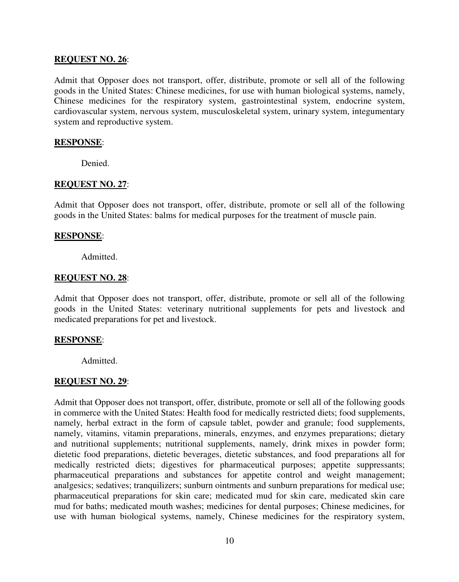# **REQUEST NO. 26**:

Admit that Opposer does not transport, offer, distribute, promote or sell all of the following goods in the United States: Chinese medicines, for use with human biological systems, namely, Chinese medicines for the respiratory system, gastrointestinal system, endocrine system, cardiovascular system, nervous system, musculoskeletal system, urinary system, integumentary system and reproductive system.

#### **RESPONSE**:

Denied.

# **REQUEST NO. 27**:

Admit that Opposer does not transport, offer, distribute, promote or sell all of the following goods in the United States: balms for medical purposes for the treatment of muscle pain.

### **RESPONSE**:

Admitted.

### **REQUEST NO. 28**:

Admit that Opposer does not transport, offer, distribute, promote or sell all of the following goods in the United States: veterinary nutritional supplements for pets and livestock and medicated preparations for pet and livestock.

# **RESPONSE**:

Admitted.

# **REQUEST NO. 29**:

Admit that Opposer does not transport, offer, distribute, promote or sell all of the following goods in commerce with the United States: Health food for medically restricted diets; food supplements, namely, herbal extract in the form of capsule tablet, powder and granule; food supplements, namely, vitamins, vitamin preparations, minerals, enzymes, and enzymes preparations; dietary and nutritional supplements; nutritional supplements, namely, drink mixes in powder form; dietetic food preparations, dietetic beverages, dietetic substances, and food preparations all for medically restricted diets; digestives for pharmaceutical purposes; appetite suppressants; pharmaceutical preparations and substances for appetite control and weight management; analgesics; sedatives; tranquilizers; sunburn ointments and sunburn preparations for medical use; pharmaceutical preparations for skin care; medicated mud for skin care, medicated skin care mud for baths; medicated mouth washes; medicines for dental purposes; Chinese medicines, for use with human biological systems, namely, Chinese medicines for the respiratory system,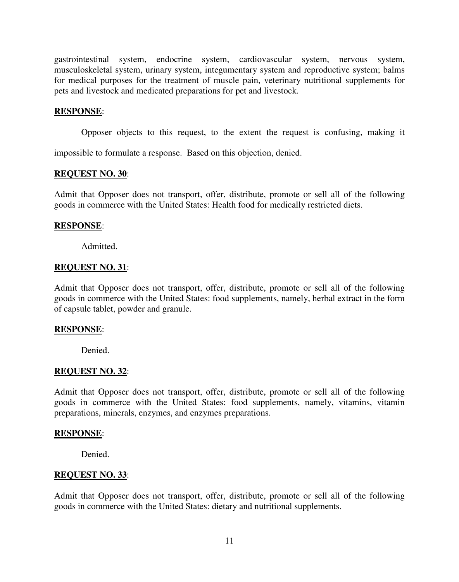gastrointestinal system, endocrine system, cardiovascular system, nervous system, musculoskeletal system, urinary system, integumentary system and reproductive system; balms for medical purposes for the treatment of muscle pain, veterinary nutritional supplements for pets and livestock and medicated preparations for pet and livestock.

#### **RESPONSE**:

Opposer objects to this request, to the extent the request is confusing, making it

impossible to formulate a response. Based on this objection, denied.

#### **REQUEST NO. 30**:

Admit that Opposer does not transport, offer, distribute, promote or sell all of the following goods in commerce with the United States: Health food for medically restricted diets.

# **RESPONSE**:

Admitted.

### **REQUEST NO. 31**:

Admit that Opposer does not transport, offer, distribute, promote or sell all of the following goods in commerce with the United States: food supplements, namely, herbal extract in the form of capsule tablet, powder and granule.

# **RESPONSE**:

Denied.

# **REQUEST NO. 32**:

Admit that Opposer does not transport, offer, distribute, promote or sell all of the following goods in commerce with the United States: food supplements, namely, vitamins, vitamin preparations, minerals, enzymes, and enzymes preparations.

#### **RESPONSE**:

Denied.

#### **REQUEST NO. 33**:

Admit that Opposer does not transport, offer, distribute, promote or sell all of the following goods in commerce with the United States: dietary and nutritional supplements.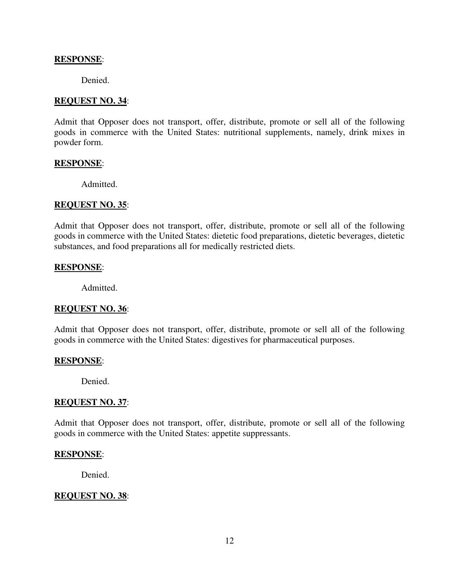# **RESPONSE**:

Denied.

### **REQUEST NO. 34**:

Admit that Opposer does not transport, offer, distribute, promote or sell all of the following goods in commerce with the United States: nutritional supplements, namely, drink mixes in powder form.

#### **RESPONSE**:

Admitted.

### **REQUEST NO. 35**:

Admit that Opposer does not transport, offer, distribute, promote or sell all of the following goods in commerce with the United States: dietetic food preparations, dietetic beverages, dietetic substances, and food preparations all for medically restricted diets.

### **RESPONSE**:

Admitted.

# **REQUEST NO. 36**:

Admit that Opposer does not transport, offer, distribute, promote or sell all of the following goods in commerce with the United States: digestives for pharmaceutical purposes.

# **RESPONSE**:

Denied.

# **REQUEST NO. 37**:

Admit that Opposer does not transport, offer, distribute, promote or sell all of the following goods in commerce with the United States: appetite suppressants.

#### **RESPONSE**:

Denied.

### **REQUEST NO. 38**: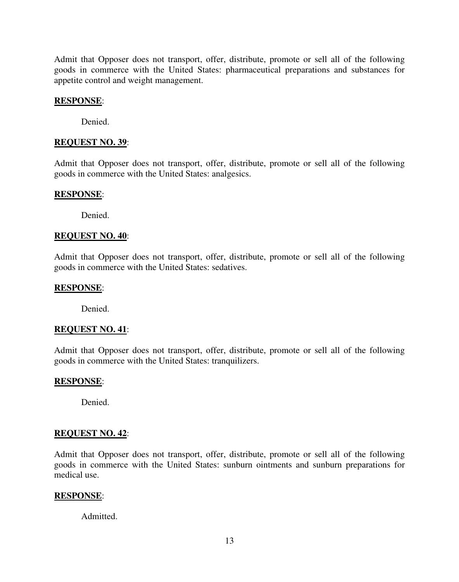Admit that Opposer does not transport, offer, distribute, promote or sell all of the following goods in commerce with the United States: pharmaceutical preparations and substances for appetite control and weight management.

#### **RESPONSE**:

Denied.

### **REQUEST NO. 39**:

Admit that Opposer does not transport, offer, distribute, promote or sell all of the following goods in commerce with the United States: analgesics.

### **RESPONSE**:

Denied.

### **REQUEST NO. 40**:

Admit that Opposer does not transport, offer, distribute, promote or sell all of the following goods in commerce with the United States: sedatives.

# **RESPONSE**:

Denied.

# **REQUEST NO. 41**:

Admit that Opposer does not transport, offer, distribute, promote or sell all of the following goods in commerce with the United States: tranquilizers.

#### **RESPONSE**:

Denied.

#### **REQUEST NO. 42**:

Admit that Opposer does not transport, offer, distribute, promote or sell all of the following goods in commerce with the United States: sunburn ointments and sunburn preparations for medical use.

#### **RESPONSE**:

Admitted.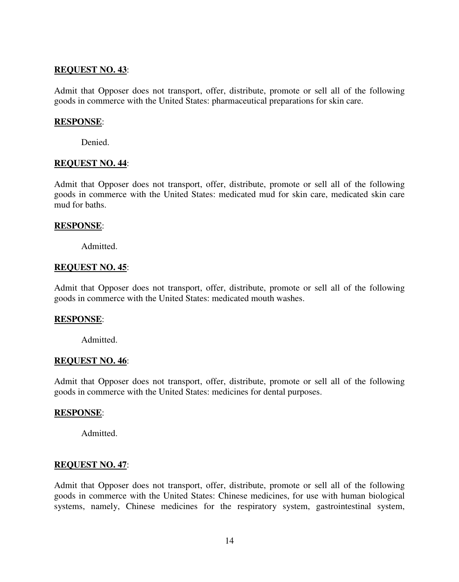# **REQUEST NO. 43**:

Admit that Opposer does not transport, offer, distribute, promote or sell all of the following goods in commerce with the United States: pharmaceutical preparations for skin care.

# **RESPONSE**:

Denied.

# **REQUEST NO. 44**:

Admit that Opposer does not transport, offer, distribute, promote or sell all of the following goods in commerce with the United States: medicated mud for skin care, medicated skin care mud for baths.

# **RESPONSE**:

Admitted.

# **REQUEST NO. 45**:

Admit that Opposer does not transport, offer, distribute, promote or sell all of the following goods in commerce with the United States: medicated mouth washes.

# **RESPONSE**:

Admitted.

# **REQUEST NO. 46**:

Admit that Opposer does not transport, offer, distribute, promote or sell all of the following goods in commerce with the United States: medicines for dental purposes.

# **RESPONSE**:

Admitted.

# **REQUEST NO. 47**:

Admit that Opposer does not transport, offer, distribute, promote or sell all of the following goods in commerce with the United States: Chinese medicines, for use with human biological systems, namely, Chinese medicines for the respiratory system, gastrointestinal system,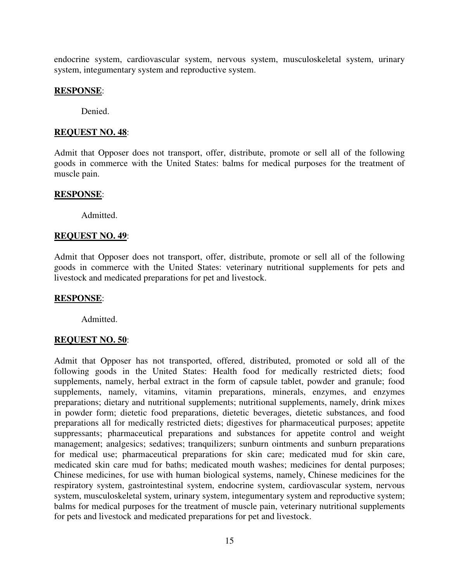endocrine system, cardiovascular system, nervous system, musculoskeletal system, urinary system, integumentary system and reproductive system.

# **RESPONSE**:

Denied.

### **REQUEST NO. 48**:

Admit that Opposer does not transport, offer, distribute, promote or sell all of the following goods in commerce with the United States: balms for medical purposes for the treatment of muscle pain.

### **RESPONSE**:

Admitted.

### **REQUEST NO. 49**:

Admit that Opposer does not transport, offer, distribute, promote or sell all of the following goods in commerce with the United States: veterinary nutritional supplements for pets and livestock and medicated preparations for pet and livestock.

#### **RESPONSE**:

Admitted.

# **REQUEST NO. 50**:

Admit that Opposer has not transported, offered, distributed, promoted or sold all of the following goods in the United States: Health food for medically restricted diets; food supplements, namely, herbal extract in the form of capsule tablet, powder and granule; food supplements, namely, vitamins, vitamin preparations, minerals, enzymes, and enzymes preparations; dietary and nutritional supplements; nutritional supplements, namely, drink mixes in powder form; dietetic food preparations, dietetic beverages, dietetic substances, and food preparations all for medically restricted diets; digestives for pharmaceutical purposes; appetite suppressants; pharmaceutical preparations and substances for appetite control and weight management; analgesics; sedatives; tranquilizers; sunburn ointments and sunburn preparations for medical use; pharmaceutical preparations for skin care; medicated mud for skin care, medicated skin care mud for baths; medicated mouth washes; medicines for dental purposes; Chinese medicines, for use with human biological systems, namely, Chinese medicines for the respiratory system, gastrointestinal system, endocrine system, cardiovascular system, nervous system, musculoskeletal system, urinary system, integumentary system and reproductive system; balms for medical purposes for the treatment of muscle pain, veterinary nutritional supplements for pets and livestock and medicated preparations for pet and livestock.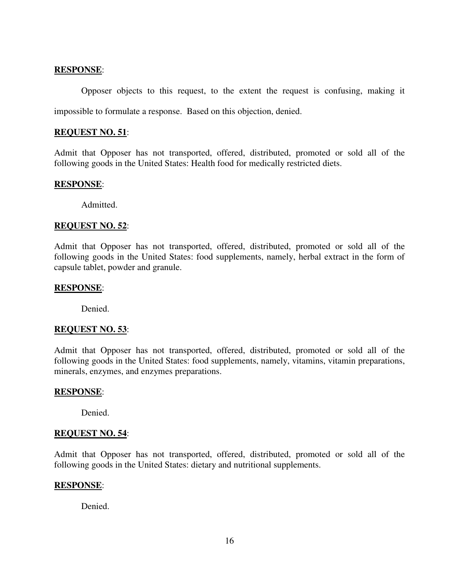# **RESPONSE**:

Opposer objects to this request, to the extent the request is confusing, making it impossible to formulate a response. Based on this objection, denied.

### **REQUEST NO. 51**:

Admit that Opposer has not transported, offered, distributed, promoted or sold all of the following goods in the United States: Health food for medically restricted diets.

# **RESPONSE**:

Admitted.

# **REQUEST NO. 52**:

Admit that Opposer has not transported, offered, distributed, promoted or sold all of the following goods in the United States: food supplements, namely, herbal extract in the form of capsule tablet, powder and granule.

# **RESPONSE**:

Denied.

# **REQUEST NO. 53**:

Admit that Opposer has not transported, offered, distributed, promoted or sold all of the following goods in the United States: food supplements, namely, vitamins, vitamin preparations, minerals, enzymes, and enzymes preparations.

#### **RESPONSE**:

Denied.

#### **REQUEST NO. 54**:

Admit that Opposer has not transported, offered, distributed, promoted or sold all of the following goods in the United States: dietary and nutritional supplements.

#### **RESPONSE**:

Denied.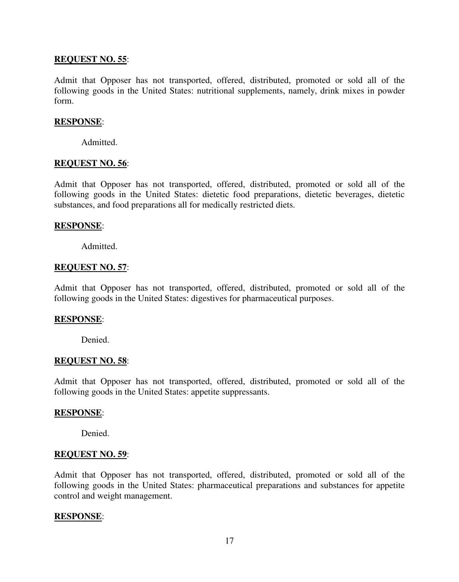# **REQUEST NO. 55**:

Admit that Opposer has not transported, offered, distributed, promoted or sold all of the following goods in the United States: nutritional supplements, namely, drink mixes in powder form.

### **RESPONSE**:

Admitted.

### **REQUEST NO. 56**:

Admit that Opposer has not transported, offered, distributed, promoted or sold all of the following goods in the United States: dietetic food preparations, dietetic beverages, dietetic substances, and food preparations all for medically restricted diets.

### **RESPONSE**:

Admitted.

### **REQUEST NO. 57**:

Admit that Opposer has not transported, offered, distributed, promoted or sold all of the following goods in the United States: digestives for pharmaceutical purposes.

#### **RESPONSE**:

Denied.

#### **REQUEST NO. 58**:

Admit that Opposer has not transported, offered, distributed, promoted or sold all of the following goods in the United States: appetite suppressants.

#### **RESPONSE**:

Denied.

#### **REQUEST NO. 59**:

Admit that Opposer has not transported, offered, distributed, promoted or sold all of the following goods in the United States: pharmaceutical preparations and substances for appetite control and weight management.

#### **RESPONSE**: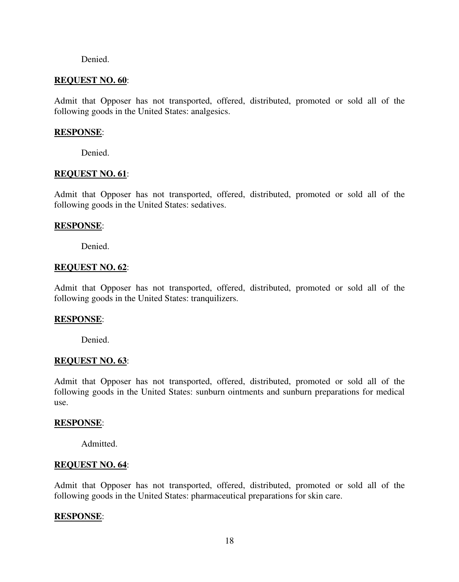#### Denied.

#### **REQUEST NO. 60**:

Admit that Opposer has not transported, offered, distributed, promoted or sold all of the following goods in the United States: analgesics.

#### **RESPONSE**:

Denied.

### **REQUEST NO. 61**:

Admit that Opposer has not transported, offered, distributed, promoted or sold all of the following goods in the United States: sedatives.

### **RESPONSE**:

Denied.

#### **REQUEST NO. 62**:

Admit that Opposer has not transported, offered, distributed, promoted or sold all of the following goods in the United States: tranquilizers.

#### **RESPONSE**:

Denied.

# **REQUEST NO. 63**:

Admit that Opposer has not transported, offered, distributed, promoted or sold all of the following goods in the United States: sunburn ointments and sunburn preparations for medical use.

#### **RESPONSE**:

Admitted.

# **REQUEST NO. 64**:

Admit that Opposer has not transported, offered, distributed, promoted or sold all of the following goods in the United States: pharmaceutical preparations for skin care.

# **RESPONSE**: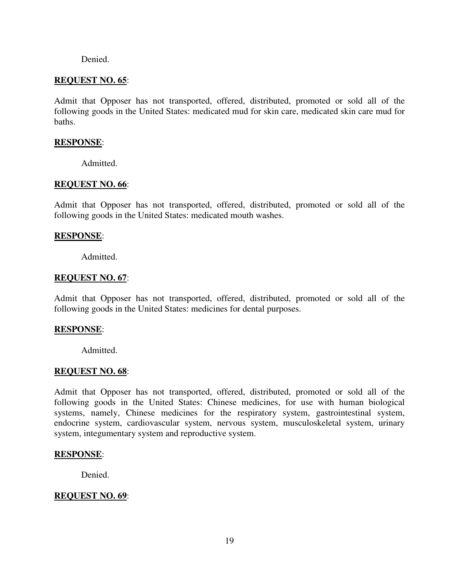#### Denied.

### **REQUEST NO. 65**:

Admit that Opposer has not transported, offered, distributed, promoted or sold all of the following goods in the United States: medicated mud for skin care, medicated skin care mud for baths.

#### **RESPONSE**:

Admitted.

### **REQUEST NO. 66**:

Admit that Opposer has not transported, offered, distributed, promoted or sold all of the following goods in the United States: medicated mouth washes.

#### **RESPONSE**:

Admitted.

### **REQUEST NO. 67**:

Admit that Opposer has not transported, offered, distributed, promoted or sold all of the following goods in the United States: medicines for dental purposes.

#### **RESPONSE**:

Admitted.

#### **REQUEST NO. 68**:

Admit that Opposer has not transported, offered, distributed, promoted or sold all of the following goods in the United States: Chinese medicines, for use with human biological systems, namely, Chinese medicines for the respiratory system, gastrointestinal system, endocrine system, cardiovascular system, nervous system, musculoskeletal system, urinary system, integumentary system and reproductive system.

#### **RESPONSE**:

Denied.

# **REQUEST NO. 69**: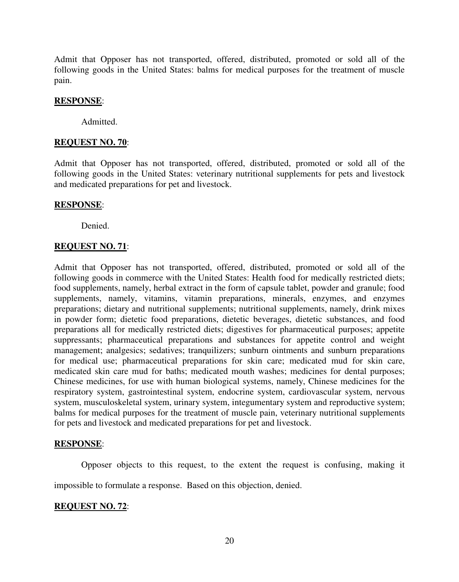Admit that Opposer has not transported, offered, distributed, promoted or sold all of the following goods in the United States: balms for medical purposes for the treatment of muscle pain.

### **RESPONSE**:

Admitted.

# **REQUEST NO. 70**:

Admit that Opposer has not transported, offered, distributed, promoted or sold all of the following goods in the United States: veterinary nutritional supplements for pets and livestock and medicated preparations for pet and livestock.

### **RESPONSE**:

Denied.

# **REQUEST NO. 71**:

Admit that Opposer has not transported, offered, distributed, promoted or sold all of the following goods in commerce with the United States: Health food for medically restricted diets; food supplements, namely, herbal extract in the form of capsule tablet, powder and granule; food supplements, namely, vitamins, vitamin preparations, minerals, enzymes, and enzymes preparations; dietary and nutritional supplements; nutritional supplements, namely, drink mixes in powder form; dietetic food preparations, dietetic beverages, dietetic substances, and food preparations all for medically restricted diets; digestives for pharmaceutical purposes; appetite suppressants; pharmaceutical preparations and substances for appetite control and weight management; analgesics; sedatives; tranquilizers; sunburn ointments and sunburn preparations for medical use; pharmaceutical preparations for skin care; medicated mud for skin care, medicated skin care mud for baths; medicated mouth washes; medicines for dental purposes; Chinese medicines, for use with human biological systems, namely, Chinese medicines for the respiratory system, gastrointestinal system, endocrine system, cardiovascular system, nervous system, musculoskeletal system, urinary system, integumentary system and reproductive system; balms for medical purposes for the treatment of muscle pain, veterinary nutritional supplements for pets and livestock and medicated preparations for pet and livestock.

# **RESPONSE**:

Opposer objects to this request, to the extent the request is confusing, making it

impossible to formulate a response. Based on this objection, denied.

# **REQUEST NO. 72**: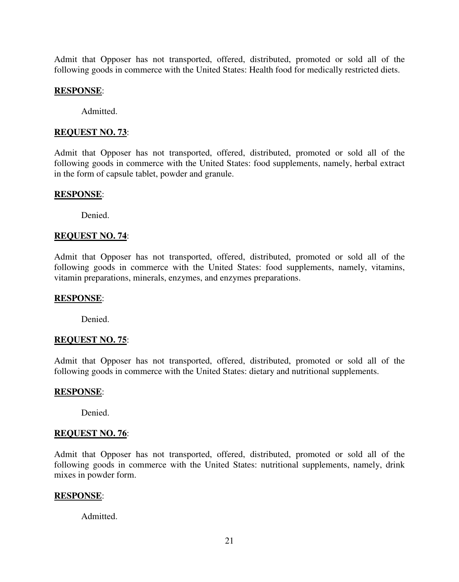Admit that Opposer has not transported, offered, distributed, promoted or sold all of the following goods in commerce with the United States: Health food for medically restricted diets.

#### **RESPONSE**:

Admitted.

#### **REQUEST NO. 73**:

Admit that Opposer has not transported, offered, distributed, promoted or sold all of the following goods in commerce with the United States: food supplements, namely, herbal extract in the form of capsule tablet, powder and granule.

### **RESPONSE**:

Denied.

### **REQUEST NO. 74**:

Admit that Opposer has not transported, offered, distributed, promoted or sold all of the following goods in commerce with the United States: food supplements, namely, vitamins, vitamin preparations, minerals, enzymes, and enzymes preparations.

#### **RESPONSE**:

Denied.

# **REQUEST NO. 75**:

Admit that Opposer has not transported, offered, distributed, promoted or sold all of the following goods in commerce with the United States: dietary and nutritional supplements.

#### **RESPONSE**:

Denied.

# **REQUEST NO. 76**:

Admit that Opposer has not transported, offered, distributed, promoted or sold all of the following goods in commerce with the United States: nutritional supplements, namely, drink mixes in powder form.

#### **RESPONSE**:

Admitted.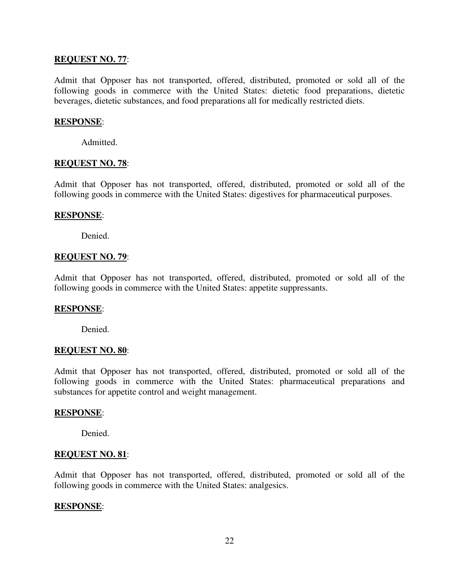# **REQUEST NO. 77**:

Admit that Opposer has not transported, offered, distributed, promoted or sold all of the following goods in commerce with the United States: dietetic food preparations, dietetic beverages, dietetic substances, and food preparations all for medically restricted diets.

### **RESPONSE**:

Admitted.

### **REQUEST NO. 78**:

Admit that Opposer has not transported, offered, distributed, promoted or sold all of the following goods in commerce with the United States: digestives for pharmaceutical purposes.

### **RESPONSE**:

Denied.

# **REQUEST NO. 79**:

Admit that Opposer has not transported, offered, distributed, promoted or sold all of the following goods in commerce with the United States: appetite suppressants.

#### **RESPONSE**:

Denied.

#### **REQUEST NO. 80**:

Admit that Opposer has not transported, offered, distributed, promoted or sold all of the following goods in commerce with the United States: pharmaceutical preparations and substances for appetite control and weight management.

#### **RESPONSE**:

Denied.

#### **REQUEST NO. 81**:

Admit that Opposer has not transported, offered, distributed, promoted or sold all of the following goods in commerce with the United States: analgesics.

# **RESPONSE**: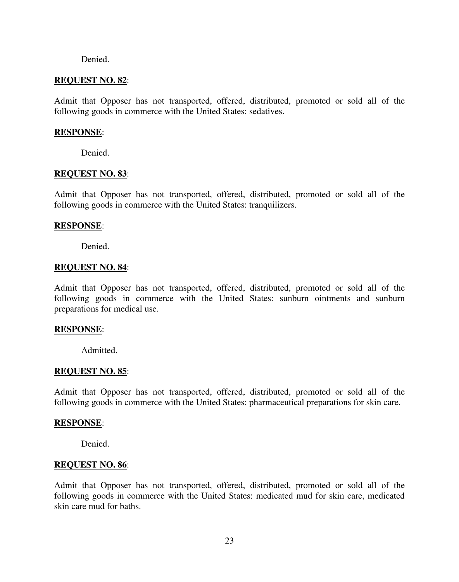#### Denied.

# **REQUEST NO. 82**:

Admit that Opposer has not transported, offered, distributed, promoted or sold all of the following goods in commerce with the United States: sedatives.

#### **RESPONSE**:

Denied.

### **REQUEST NO. 83**:

Admit that Opposer has not transported, offered, distributed, promoted or sold all of the following goods in commerce with the United States: tranquilizers.

### **RESPONSE**:

Denied.

#### **REQUEST NO. 84**:

Admit that Opposer has not transported, offered, distributed, promoted or sold all of the following goods in commerce with the United States: sunburn ointments and sunburn preparations for medical use.

# **RESPONSE**:

Admitted.

# **REQUEST NO. 85**:

Admit that Opposer has not transported, offered, distributed, promoted or sold all of the following goods in commerce with the United States: pharmaceutical preparations for skin care.

#### **RESPONSE**:

Denied.

#### **REQUEST NO. 86**:

Admit that Opposer has not transported, offered, distributed, promoted or sold all of the following goods in commerce with the United States: medicated mud for skin care, medicated skin care mud for baths.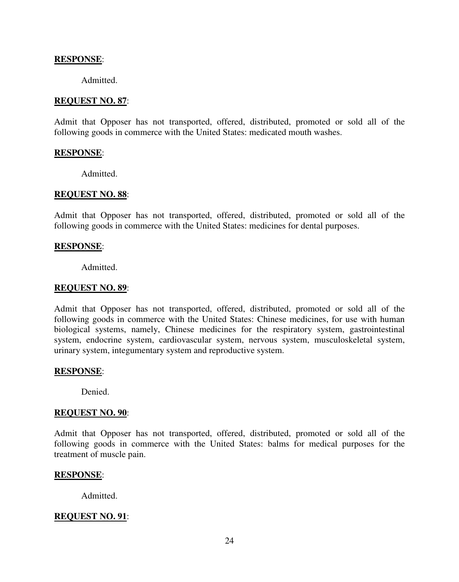# **RESPONSE**:

Admitted.

### **REQUEST NO. 87**:

Admit that Opposer has not transported, offered, distributed, promoted or sold all of the following goods in commerce with the United States: medicated mouth washes.

#### **RESPONSE**:

Admitted.

#### **REQUEST NO. 88**:

Admit that Opposer has not transported, offered, distributed, promoted or sold all of the following goods in commerce with the United States: medicines for dental purposes.

#### **RESPONSE**:

Admitted.

### **REQUEST NO. 89**:

Admit that Opposer has not transported, offered, distributed, promoted or sold all of the following goods in commerce with the United States: Chinese medicines, for use with human biological systems, namely, Chinese medicines for the respiratory system, gastrointestinal system, endocrine system, cardiovascular system, nervous system, musculoskeletal system, urinary system, integumentary system and reproductive system.

# **RESPONSE**:

Denied.

### **REQUEST NO. 90**:

Admit that Opposer has not transported, offered, distributed, promoted or sold all of the following goods in commerce with the United States: balms for medical purposes for the treatment of muscle pain.

#### **RESPONSE**:

Admitted.

# **REQUEST NO. 91**: